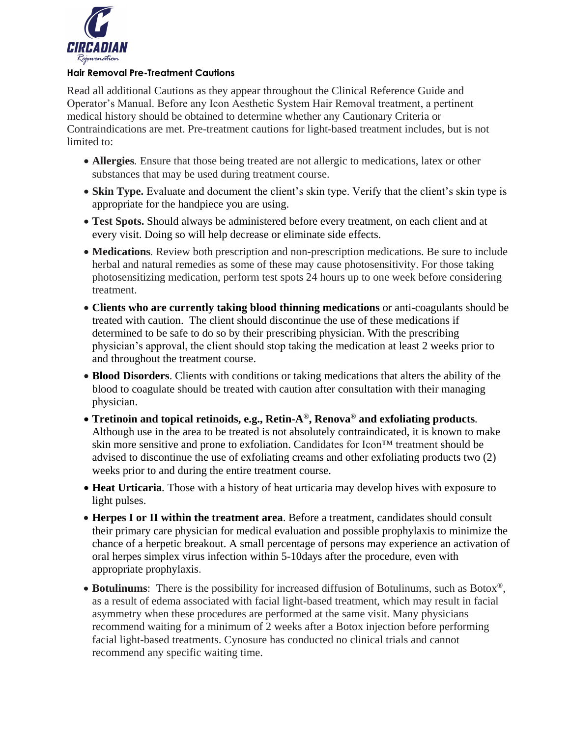

#### **Hair Removal Pre-Treatment Cautions**

Read all additional Cautions as they appear throughout the Clinical Reference Guide and Operator's Manual. Before any Icon Aesthetic System Hair Removal treatment, a pertinent medical history should be obtained to determine whether any Cautionary Criteria or Contraindications are met. Pre-treatment cautions for light-based treatment includes, but is not limited to:

- **Allergies***.* Ensure that those being treated are not allergic to medications, latex or other substances that may be used during treatment course.
- **Skin Type.** Evaluate and document the client's skin type. Verify that the client's skin type is appropriate for the handpiece you are using.
- **Test Spots.** Should always be administered before every treatment, on each client and at every visit. Doing so will help decrease or eliminate side effects.
- **Medications***.* Review both prescription and non-prescription medications. Be sure to include herbal and natural remedies as some of these may cause photosensitivity. For those taking photosensitizing medication, perform test spots 24 hours up to one week before considering treatment.
- **Clients who are currently taking blood thinning medications** or anti-coagulants should be treated with caution. The client should discontinue the use of these medications if determined to be safe to do so by their prescribing physician. With the prescribing physician's approval, the client should stop taking the medication at least 2 weeks prior to and throughout the treatment course.
- **Blood Disorders**. Clients with conditions or taking medications that alters the ability of the blood to coagulate should be treated with caution after consultation with their managing physician.
- **Tretinoin and topical retinoids, e.g., Retin-A®, Renova® and exfoliating products***.* Although use in the area to be treated is not absolutely contraindicated, it is known to make skin more sensitive and prone to exfoliation. Candidates for Icon™ treatment should be advised to discontinue the use of exfoliating creams and other exfoliating products two (2) weeks prior to and during the entire treatment course.
- **Heat Urticaria***.* Those with a history of heat urticaria may develop hives with exposure to light pulses.
- **Herpes I or II within the treatment area**. Before a treatment, candidates should consult their primary care physician for medical evaluation and possible prophylaxis to minimize the chance of a herpetic breakout. A small percentage of persons may experience an activation of oral herpes simplex virus infection within 5-10days after the procedure, even with appropriate prophylaxis.
- **Botulinums**: There is the possibility for increased diffusion of Botulinums, such as Botox®, as a result of edema associated with facial light-based treatment, which may result in facial asymmetry when these procedures are performed at the same visit. Many physicians recommend waiting for a minimum of 2 weeks after a Botox injection before performing facial light-based treatments. Cynosure has conducted no clinical trials and cannot recommend any specific waiting time.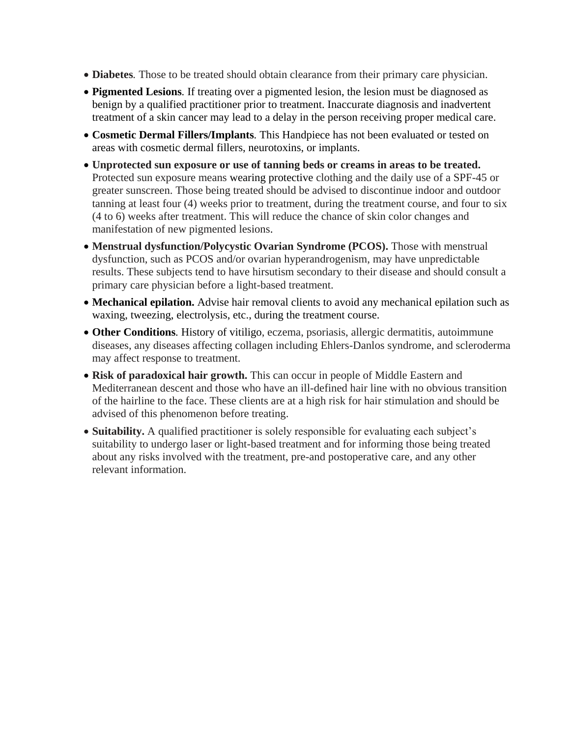- **Diabetes***.* Those to be treated should obtain clearance from their primary care physician.
- **Pigmented Lesions***.* If treating over a pigmented lesion, the lesion must be diagnosed as benign by a qualified practitioner prior to treatment. Inaccurate diagnosis and inadvertent treatment of a skin cancer may lead to a delay in the person receiving proper medical care.
- **Cosmetic Dermal Fillers/Implants***.* This Handpiece has not been evaluated or tested on areas with cosmetic dermal fillers, neurotoxins, or implants.
- **Unprotected sun exposure or use of tanning beds or creams in areas to be treated.** Protected sun exposure means wearing protective clothing and the daily use of a SPF-45 or greater sunscreen. Those being treated should be advised to discontinue indoor and outdoor tanning at least four (4) weeks prior to treatment, during the treatment course, and four to six (4 to 6) weeks after treatment. This will reduce the chance of skin color changes and manifestation of new pigmented lesions.
- **Menstrual dysfunction/Polycystic Ovarian Syndrome (PCOS).** Those with menstrual dysfunction, such as PCOS and/or ovarian hyperandrogenism, may have unpredictable results. These subjects tend to have hirsutism secondary to their disease and should consult a primary care physician before a light-based treatment.
- **Mechanical epilation.** Advise hair removal clients to avoid any mechanical epilation such as waxing, tweezing, electrolysis, etc., during the treatment course.
- **Other Conditions***.* History of vitiligo, eczema, psoriasis, allergic dermatitis, autoimmune diseases, any diseases affecting collagen including Ehlers-Danlos syndrome, and scleroderma may affect response to treatment.
- **Risk of paradoxical hair growth.** This can occur in people of Middle Eastern and Mediterranean descent and those who have an ill-defined hair line with no obvious transition of the hairline to the face. These clients are at a high risk for hair stimulation and should be advised of this phenomenon before treating.
- **Suitability.** A qualified practitioner is solely responsible for evaluating each subject's suitability to undergo laser or light-based treatment and for informing those being treated about any risks involved with the treatment, pre-and postoperative care, and any other relevant information.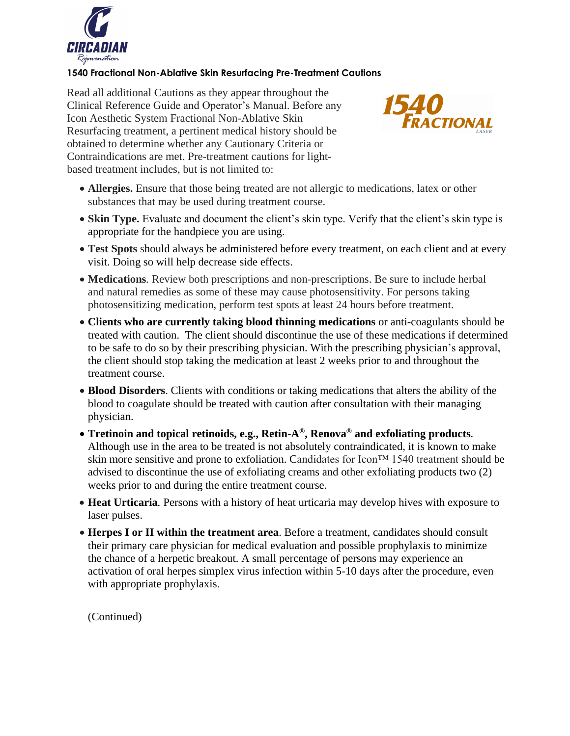

## **1540 Fractional Non-Ablative Skin Resurfacing Pre-Treatment Cautions**

Read all additional Cautions as they appear throughout the Clinical Reference Guide and Operator's Manual. Before any Icon Aesthetic System Fractional Non-Ablative Skin Resurfacing treatment, a pertinent medical history should be obtained to determine whether any Cautionary Criteria or Contraindications are met. Pre-treatment cautions for lightbased treatment includes, but is not limited to:



- **Allergies.** Ensure that those being treated are not allergic to medications, latex or other substances that may be used during treatment course.
- **Skin Type.** Evaluate and document the client's skin type. Verify that the client's skin type is appropriate for the handpiece you are using.
- **Test Spots** should always be administered before every treatment, on each client and at every visit. Doing so will help decrease side effects.
- **Medications***.* Review both prescriptions and non-prescriptions. Be sure to include herbal and natural remedies as some of these may cause photosensitivity. For persons taking photosensitizing medication, perform test spots at least 24 hours before treatment.
- **Clients who are currently taking blood thinning medications** or anti-coagulants should be treated with caution. The client should discontinue the use of these medications if determined to be safe to do so by their prescribing physician. With the prescribing physician's approval, the client should stop taking the medication at least 2 weeks prior to and throughout the treatment course.
- **Blood Disorders**. Clients with conditions or taking medications that alters the ability of the blood to coagulate should be treated with caution after consultation with their managing physician.
- **Tretinoin and topical retinoids, e.g., Retin-A®, Renova® and exfoliating products***.* Although use in the area to be treated is not absolutely contraindicated, it is known to make skin more sensitive and prone to exfoliation. Candidates for Icon™ 1540 treatment should be advised to discontinue the use of exfoliating creams and other exfoliating products two (2) weeks prior to and during the entire treatment course.
- **Heat Urticaria***.* Persons with a history of heat urticaria may develop hives with exposure to laser pulses.
- **Herpes I or II within the treatment area**. Before a treatment, candidates should consult their primary care physician for medical evaluation and possible prophylaxis to minimize the chance of a herpetic breakout. A small percentage of persons may experience an activation of oral herpes simplex virus infection within 5-10 days after the procedure, even with appropriate prophylaxis.

(Continued)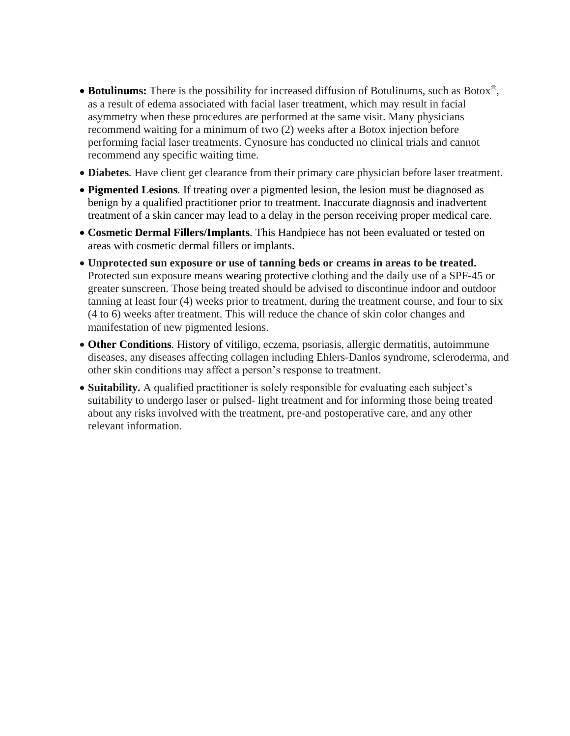- **Botulinums:** There is the possibility for increased diffusion of Botulinums, such as Botox<sup>®</sup>, as a result of edema associated with facial laser treatment, which may result in facial asymmetry when these procedures are performed at the same visit. Many physicians recommend waiting for a minimum of two (2) weeks after a Botox injection before performing facial laser treatments. Cynosure has conducted no clinical trials and cannot recommend any specific waiting time.
- **Diabetes***.* Have client get clearance from their primary care physician before laser treatment.
- **Pigmented Lesions***.* If treating over a pigmented lesion, the lesion must be diagnosed as benign by a qualified practitioner prior to treatment. Inaccurate diagnosis and inadvertent treatment of a skin cancer may lead to a delay in the person receiving proper medical care.
- **Cosmetic Dermal Fillers/Implants***.* This Handpiece has not been evaluated or tested on areas with cosmetic dermal fillers or implants.
- **Unprotected sun exposure or use of tanning beds or creams in areas to be treated.** Protected sun exposure means wearing protective clothing and the daily use of a SPF-45 or greater sunscreen. Those being treated should be advised to discontinue indoor and outdoor tanning at least four (4) weeks prior to treatment, during the treatment course, and four to six (4 to 6) weeks after treatment. This will reduce the chance of skin color changes and manifestation of new pigmented lesions.
- Other Conditions. History of vitiligo, eczema, psoriasis, allergic dermatitis, autoimmune diseases, any diseases affecting collagen including Ehlers-Danlos syndrome, scleroderma, and other skin conditions may affect a person's response to treatment.
- **Suitability.** A qualified practitioner is solely responsible for evaluating each subject's suitability to undergo laser or pulsed- light treatment and for informing those being treated about any risks involved with the treatment, pre-and postoperative care, and any other relevant information.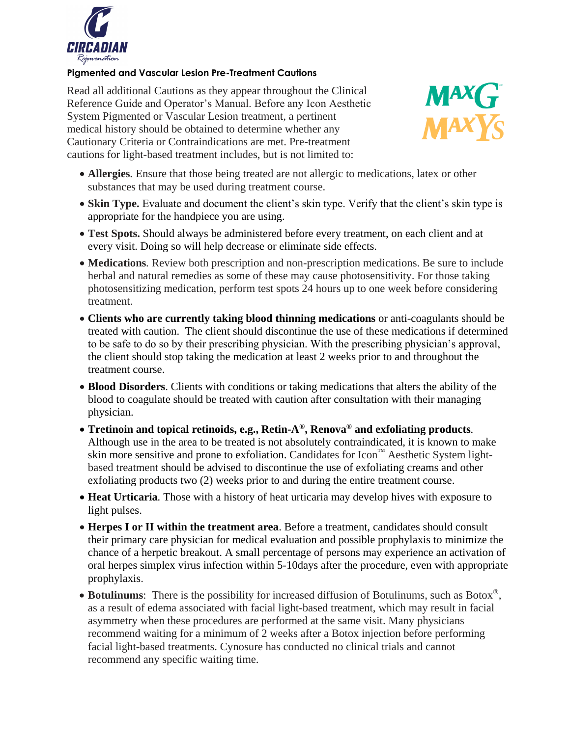

### **Pigmented and Vascular Lesion Pre-Treatment Cautions**

Read all additional Cautions as they appear throughout the Clinical Reference Guide and Operator's Manual. Before any Icon Aesthetic System Pigmented or Vascular Lesion treatment, a pertinent medical history should be obtained to determine whether any Cautionary Criteria or Contraindications are met. Pre-treatment cautions for light-based treatment includes, but is not limited to:



- **Allergies***.* Ensure that those being treated are not allergic to medications, latex or other substances that may be used during treatment course.
- **Skin Type.** Evaluate and document the client's skin type. Verify that the client's skin type is appropriate for the handpiece you are using.
- **Test Spots.** Should always be administered before every treatment, on each client and at every visit. Doing so will help decrease or eliminate side effects.
- **Medications***.* Review both prescription and non-prescription medications. Be sure to include herbal and natural remedies as some of these may cause photosensitivity. For those taking photosensitizing medication, perform test spots 24 hours up to one week before considering treatment.
- **Clients who are currently taking blood thinning medications** or anti-coagulants should be treated with caution. The client should discontinue the use of these medications if determined to be safe to do so by their prescribing physician. With the prescribing physician's approval, the client should stop taking the medication at least 2 weeks prior to and throughout the treatment course.
- **Blood Disorders**. Clients with conditions or taking medications that alters the ability of the blood to coagulate should be treated with caution after consultation with their managing physician.
- **Tretinoin and topical retinoids, e.g., Retin-A®, Renova® and exfoliating products***.* Although use in the area to be treated is not absolutely contraindicated, it is known to make skin more sensitive and prone to exfoliation. Candidates for Icon™ Aesthetic System lightbased treatment should be advised to discontinue the use of exfoliating creams and other exfoliating products two (2) weeks prior to and during the entire treatment course.
- **Heat Urticaria***.* Those with a history of heat urticaria may develop hives with exposure to light pulses.
- **Herpes I or II within the treatment area**. Before a treatment, candidates should consult their primary care physician for medical evaluation and possible prophylaxis to minimize the chance of a herpetic breakout. A small percentage of persons may experience an activation of oral herpes simplex virus infection within 5-10days after the procedure, even with appropriate prophylaxis.
- **Botulinums**: There is the possibility for increased diffusion of Botulinums, such as Botox®, as a result of edema associated with facial light-based treatment, which may result in facial asymmetry when these procedures are performed at the same visit. Many physicians recommend waiting for a minimum of 2 weeks after a Botox injection before performing facial light-based treatments. Cynosure has conducted no clinical trials and cannot recommend any specific waiting time.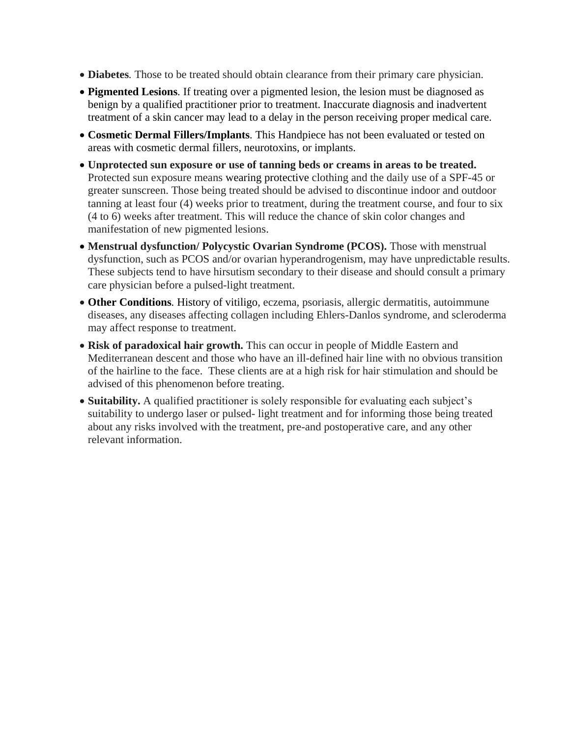- **Diabetes***.* Those to be treated should obtain clearance from their primary care physician.
- **Pigmented Lesions***.* If treating over a pigmented lesion, the lesion must be diagnosed as benign by a qualified practitioner prior to treatment. Inaccurate diagnosis and inadvertent treatment of a skin cancer may lead to a delay in the person receiving proper medical care.
- **Cosmetic Dermal Fillers/Implants***.* This Handpiece has not been evaluated or tested on areas with cosmetic dermal fillers, neurotoxins, or implants.
- **Unprotected sun exposure or use of tanning beds or creams in areas to be treated.** Protected sun exposure means wearing protective clothing and the daily use of a SPF-45 or greater sunscreen. Those being treated should be advised to discontinue indoor and outdoor tanning at least four (4) weeks prior to treatment, during the treatment course, and four to six (4 to 6) weeks after treatment. This will reduce the chance of skin color changes and manifestation of new pigmented lesions.
- **Menstrual dysfunction/ Polycystic Ovarian Syndrome (PCOS).** Those with menstrual dysfunction, such as PCOS and/or ovarian hyperandrogenism, may have unpredictable results. These subjects tend to have hirsutism secondary to their disease and should consult a primary care physician before a pulsed-light treatment.
- **Other Conditions***.* History of vitiligo, eczema, psoriasis, allergic dermatitis, autoimmune diseases, any diseases affecting collagen including Ehlers-Danlos syndrome, and scleroderma may affect response to treatment.
- **Risk of paradoxical hair growth.** This can occur in people of Middle Eastern and Mediterranean descent and those who have an ill-defined hair line with no obvious transition of the hairline to the face. These clients are at a high risk for hair stimulation and should be advised of this phenomenon before treating.
- **Suitability.** A qualified practitioner is solely responsible for evaluating each subject's suitability to undergo laser or pulsed- light treatment and for informing those being treated about any risks involved with the treatment, pre-and postoperative care, and any other relevant information.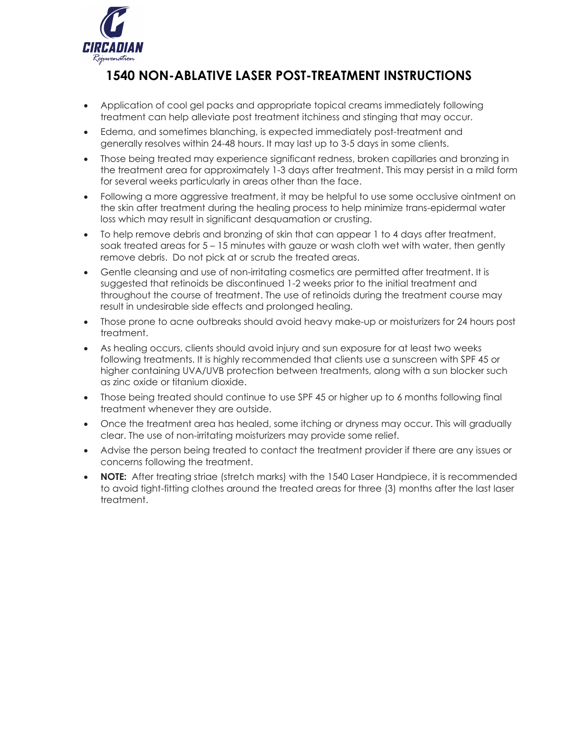

# **1540 NON-ABLATIVE LASER POST-TREATMENT INSTRUCTIONS**

- Application of cool gel packs and appropriate topical creams immediately following treatment can help alleviate post treatment itchiness and stinging that may occur.
- Edema, and sometimes blanching, is expected immediately post-treatment and generally resolves within 24-48 hours. It may last up to 3-5 days in some clients.
- Those being treated may experience significant redness, broken capillaries and bronzing in the treatment area for approximately 1-3 days after treatment. This may persist in a mild form for several weeks particularly in areas other than the face.
- Following a more aggressive treatment, it may be helpful to use some occlusive ointment on the skin after treatment during the healing process to help minimize trans-epidermal water loss which may result in significant desquamation or crusting.
- To help remove debris and bronzing of skin that can appear 1 to 4 days after treatment, soak treated areas for 5 – 15 minutes with gauze or wash cloth wet with water, then gently remove debris. Do not pick at or scrub the treated areas.
- Gentle cleansing and use of non-irritating cosmetics are permitted after treatment. It is suggested that retinoids be discontinued 1-2 weeks prior to the initial treatment and throughout the course of treatment. The use of retinoids during the treatment course may result in undesirable side effects and prolonged healing.
- Those prone to acne outbreaks should avoid heavy make-up or moisturizers for 24 hours post treatment.
- As healing occurs, clients should avoid injury and sun exposure for at least two weeks following treatments. It is highly recommended that clients use a sunscreen with SPF 45 or higher containing UVA/UVB protection between treatments, along with a sun blocker such as zinc oxide or titanium dioxide.
- Those being treated should continue to use SPF 45 or higher up to 6 months following final treatment whenever they are outside.
- Once the treatment area has healed, some itching or dryness may occur. This will gradually clear. The use of non-irritating moisturizers may provide some relief.
- Advise the person being treated to contact the treatment provider if there are any issues or concerns following the treatment.
- **NOTE:** After treating striae (stretch marks) with the 1540 Laser Handpiece, it is recommended to avoid tight-fitting clothes around the treated areas for three (3) months after the last laser treatment.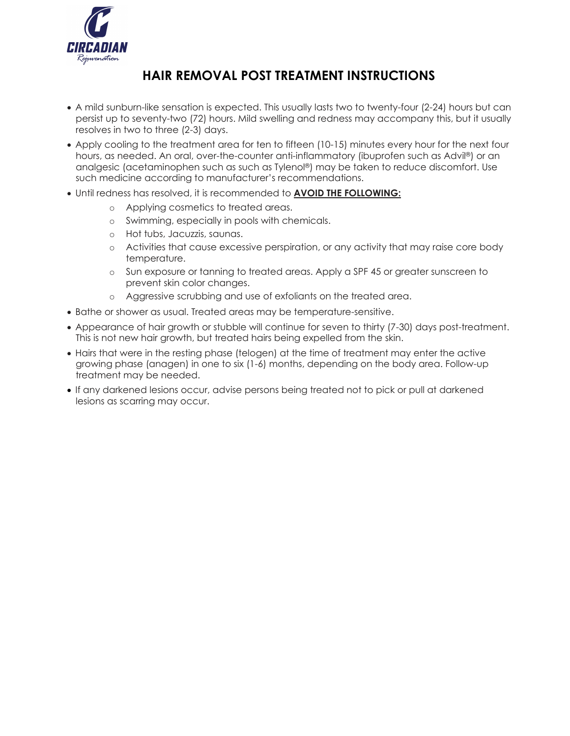

## **HAIR REMOVAL POST TREATMENT INSTRUCTIONS**

- A mild sunburn-like sensation is expected. This usually lasts two to twenty-four (2-24) hours but can persist up to seventy-two (72) hours. Mild swelling and redness may accompany this, but it usually resolves in two to three (2-3) days.
- Apply cooling to the treatment area for ten to fifteen (10-15) minutes every hour for the next four hours, as needed. An oral, over-the-counter anti-inflammatory (ibuprofen such as Advil®) or an analgesic (acetaminophen such as such as Tylenol®) may be taken to reduce discomfort. Use such medicine according to manufacturer's recommendations.
- Until redness has resolved, it is recommended to **AVOID THE FOLLOWING:**
	- o Applying cosmetics to treated areas.
	- o Swimming, especially in pools with chemicals.
	- o Hot tubs, Jacuzzis, saunas.
	- o Activities that cause excessive perspiration, or any activity that may raise core body temperature.
	- o Sun exposure or tanning to treated areas. Apply a SPF 45 or greater sunscreen to prevent skin color changes.
	- o Aggressive scrubbing and use of exfoliants on the treated area.
- Bathe or shower as usual. Treated areas may be temperature-sensitive.
- Appearance of hair growth or stubble will continue for seven to thirty (7-30) days post-treatment. This is not new hair growth, but treated hairs being expelled from the skin.
- Hairs that were in the resting phase (telogen) at the time of treatment may enter the active growing phase (anagen) in one to six (1-6) months, depending on the body area. Follow-up treatment may be needed.
- If any darkened lesions occur, advise persons being treated not to pick or pull at darkened lesions as scarring may occur.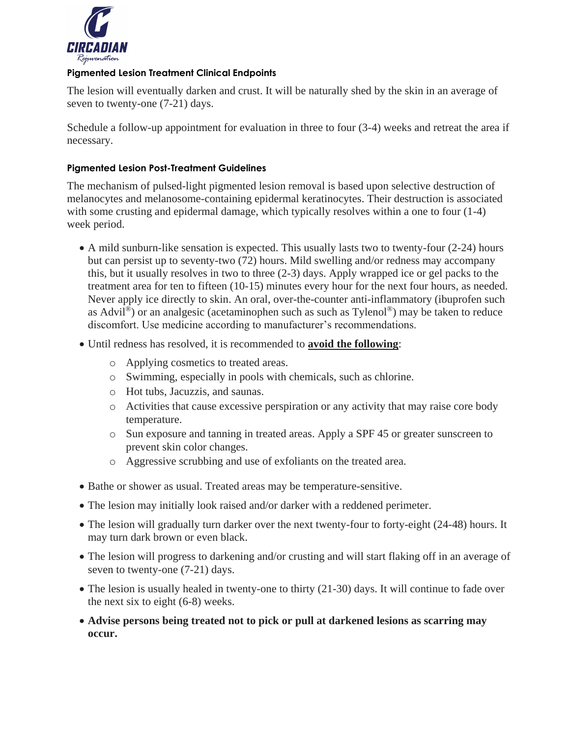

### **Pigmented Lesion Treatment Clinical Endpoints**

The lesion will eventually darken and crust. It will be naturally shed by the skin in an average of seven to twenty-one (7-21) days.

Schedule a follow-up appointment for evaluation in three to four (3-4) weeks and retreat the area if necessary.

## **Pigmented Lesion Post-Treatment Guidelines**

The mechanism of pulsed-light pigmented lesion removal is based upon selective destruction of melanocytes and melanosome-containing epidermal keratinocytes. Their destruction is associated with some crusting and epidermal damage, which typically resolves within a one to four  $(1-4)$ week period.

- A mild sunburn-like sensation is expected. This usually lasts two to twenty-four (2-24) hours but can persist up to seventy-two (72) hours. Mild swelling and/or redness may accompany this, but it usually resolves in two to three (2-3) days. Apply wrapped ice or gel packs to the treatment area for ten to fifteen (10-15) minutes every hour for the next four hours, as needed. Never apply ice directly to skin. An oral, over-the-counter anti-inflammatory (ibuprofen such as Advil®) or an analgesic (acetaminophen such as such as Tylenol®) may be taken to reduce discomfort. Use medicine according to manufacturer's recommendations.
- Until redness has resolved, it is recommended to **avoid the following**:
	- o Applying cosmetics to treated areas.
	- o Swimming, especially in pools with chemicals, such as chlorine.
	- o Hot tubs, Jacuzzis, and saunas.
	- o Activities that cause excessive perspiration or any activity that may raise core body temperature.
	- o Sun exposure and tanning in treated areas. Apply a SPF 45 or greater sunscreen to prevent skin color changes.
	- o Aggressive scrubbing and use of exfoliants on the treated area.
- Bathe or shower as usual. Treated areas may be temperature-sensitive.
- The lesion may initially look raised and/or darker with a reddened perimeter.
- The lesion will gradually turn darker over the next twenty-four to forty-eight (24-48) hours. It may turn dark brown or even black.
- The lesion will progress to darkening and/or crusting and will start flaking off in an average of seven to twenty-one (7-21) days.
- The lesion is usually healed in twenty-one to thirty (21-30) days. It will continue to fade over the next six to eight (6-8) weeks.
- **Advise persons being treated not to pick or pull at darkened lesions as scarring may occur.**